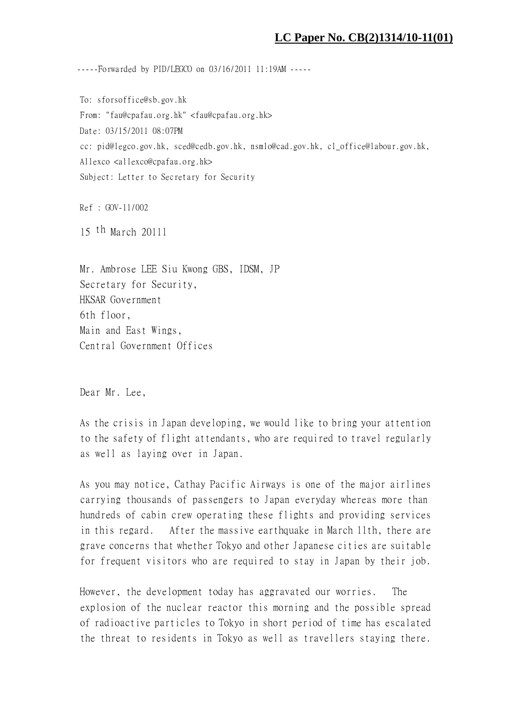## **LC Paper No. CB(2)1314/10-11(01)**

-----Forwarded by PID/LEGCO on 03/16/2011 11:19AM -----

To: sforsoffice@sb.gov.hk From: "fau@cpafau.org.hk" <fau@cpafau.org.hk> Date: 03/15/2011 08:07PM cc: pid@legco.gov.hk, sced@cedb.gov.hk, nsmlo@cad.gov.hk, cl\_office@labour.gov.hk, Allexco <allexco@cpafau.org.hk> Subject: Letter to Secretary for Security

Ref : GOV-11/002

15 th March 2011l

Mr. Ambrose LEE Siu Kwong GBS, IDSM, JP Secretary for Security, HKSAR Government 6th floor, Main and East Wings, Central Government Offices

Dear Mr. Lee,

As the crisis in Japan developing, we would like to bring your attention to the safety of flight attendants, who are required to travel regularly as well as laying over in Japan.

As you may notice, Cathay Pacific Airways is one of the major airlines carrying thousands of passengers to Japan everyday whereas more than hundreds of cabin crew operating these flights and providing services in this regard. After the massive earthquake in March 11th, there are grave concerns that whether Tokyo and other Japanese cities are suitable for frequent visitors who are required to stay in Japan by their job.

However, the development today has aggravated our worries. The explosion of the nuclear reactor this morning and the possible spread of radioactive particles to Tokyo in short period of time has escalated the threat to residents in Tokyo as well as travellers staying there.